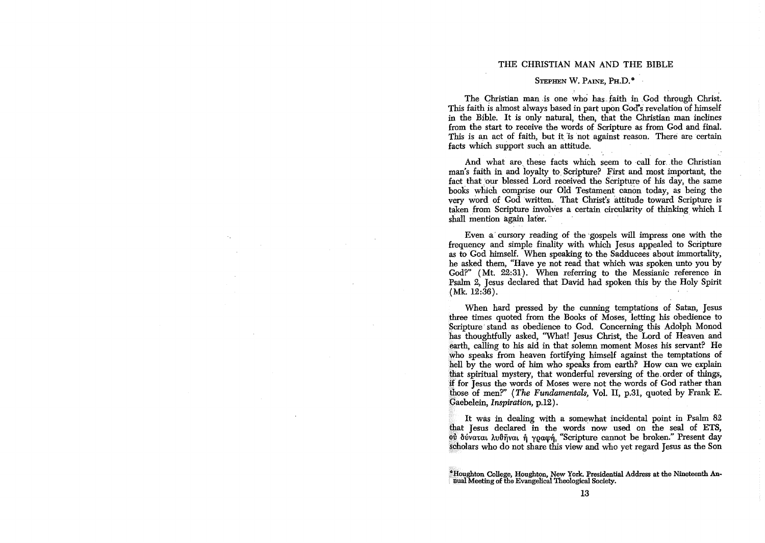### THE CHRISTIAN MAN AND THE BIBLE

## STEPHEN W. PAINE, PH.D.<sup>\*</sup>

The Christian man is one who has faith in God through Christ. This faith is almost always based in part upon God's revelation of himself in the Bible. It is only natural, then, that the Christian man inclines from the start to receive the words of Scripture as from God and final. This is an act of faith, but it is not against reason. There are certain facts which support such an attitude.

And what are these facts which seem to call for the Christian man's faith in and loyalty to Scripture? First and most important, the fact that our blessed Lord received the Scripture of his day, the same books which comprise our Old Testament canon today, as being the very word of God written. That Christ's attitude toward Scripture is taken from Scripture involves a certain circularity of thinking which I shall mention again later.

Even a cursory reading of the gospels will impress one with the frequency and simple finality with which Jesus appealed to Scripture as to God himself. When speaking to the Sadducees about immortality, he asked them, "Have ye not read that which was spoken unto you by God?" (Mt. 22:31). When referring to the Messianic reference in Psalm 2, Jesus declared that David had spoken this by the Holy Spirit (Mk. 12:36).

When hard pressed by the cunning temptations of Satan, Jesus three times quoted from the Books of Moses, letting his obedience to Scripture stand as obedience to God. Concerning this Adolph Monod has thoughtfully asked, ''What! Jesus Christ, the Lord of Heaven and earth, calling to his aid in that solemn moment Moses his servant? He who speaks from heaven fortifying himself against the temptations of hell by the word of him who speaks from earth? How can we explain that spiritual mystery, that wonderful reversing of the order of things, if for Jesus the words of Moses were not the words of God rather than those of men?" *(The Fundamentals,* Vol. II, p.31, quoted by Frank E. Gaebelein, *Inspiration*, p.12).

It was in dealing with a somewhat incidental point in Psalm <sup>82</sup> that Jesus declared in the words now used on the seal of ETS, <sup>ού δύναται λυθῆναι ἡ γραφή, "Scripture cannot be broken." Present day</sup> scholars who do not share this view and who yet regard Jesus as the Son

JHoughton College, Houghton, New York. Presidential Address at the Nineteenth An-llual Meeting of the Evangelical Theological Society.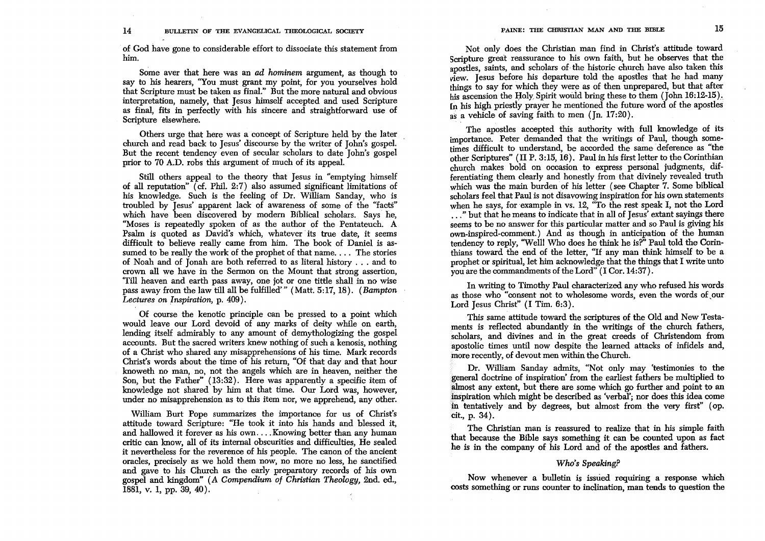of God have gone to considerable effort to dissociate this statement from him.

Some aver that here was an *ad hominem* argument, as though to say to his hearers, "You must grant my point, for you yourselves hold that Scripture must be taken as final." But the more natural and obvious interpretation, namely, that Jesus himself accepted and used Scripture as final, fits in perfectly with his sincere and straightforward use of Scripture elsewhere.

Others urge that here was a concept of Scripture held by the later church and read back to Jesus' discourse by the writer of John's gospel. But the recent tendency even of secular scholars to date John's gospel prior to 70 A.D. robs this argument of much of its appeal.

Still others appeal to the theory that Jesus in "emptying himself of all reputation"  $\tilde{c}$  (cf. Phil. 2:7) also assumed significant limitations of his knowledge. Such is the feeling of Dr. William Sanday, who is troubled by Jesus' apparent lack of awareness of some of the "factS" which have been discovered by modern Biblical scholars. Says he, "Moses is repeatedly spoken of as the author of the Pentateuch. A Psalm is quoted as David's which, whatever its true date, it seems difficult to believe really came from him. The book of Daniel is assumed to be really the work of the prophet of that name.... The stories of Noah and of Jonah are both referred to as literal history ... and to crown all we have in the Sermon on the Mount that strong assertion, 'Till heaven and earth pass away, one jot or one tittle shall in no wise pass away from the law till all be fulfilled'" (Matt. 5:17, 18). *(Bampton Lectures on Inspiration,* p. 409).

Of course the kenotic principle can be pressed to a point which would leave our Lord devoid of any marks of deity while on earth, lending itself admirably to any amount of demythologizing the gospel accounts. But the sacred writers knew nothing of such a kenosis, nothing of a Christ who shared any misapprehensions of his time. Mark records Christ's words about the time of his return, "Of that day and that hour knoweth no man, no, not the angels which are in heaven, neither the Son, but the Father" (13:32). Here was apparently a specific item of knowledge not shared by him at that time. Our Lord was, however, under no misapprehension as to this item nor, we apprehend, any other.

William Burt Pope summarizes the importance for us of Christ's attitude toward Scripture: "He took it into his hands and blessed it, and hallowed it forever as his own .... Knowing better than any human critic can know, all of its internal obscurities and difficulties, He sealed it nevertheless for the reverence of his people. The canon of the ancient oracles, precisely as we hold them now, no more no less, he sanctified and gave to his Church as the early preparatory records of his own gospel and kingdom" (A *Compendium of Christian Theology,* 2nd. ed., 1881, v. 1, pp. 39, 40).

Not only does the Christian man find in Christ's attitude toward Scripture great reassurance to his own faith, but he observes that the apostles, saints, and scholars of the historic church have also taken this view. Jesus before his departure told the apostles that he had many things to say for which they were as of then unprepared, but that after his ascension the Holy Spirit would bring these to them (John  $16:12-15$ ). [n his high priestly prayer he mentioned the future word of the apostles as a vehicle of saving faith to men (In. 17:20).

The apostles accepted this authority with full knowledge of its importance. Peter demanded that the writings of Paul, though sometimes difficult to understand, be accorded the same deference as "the other Scriptures" (II P. 3:15, 16). Paul in his first letter to the Corinthian church makes bold on occasion to express personal judgments, differentiating them clearly and honestly from that divinely revealed truth which was the main burden of his letter (see Chapter 7. Some biblical scholars feel that Paul is not disavowing inspiration for his own statements when he says, for example in vs. 12, "To the rest speak I, not the Lord ... " but that he means to indicate that in all of Jesus' extant sayings there seems to be no answer for this particular matter and so Paul is giving his own-inspired-comment.) And as though in anticipation of the human tendency to reply, "WeIll Who does he think he is?" Paul told the Corinthians toward the end of the letter, "If any man think himself to be a prophet or spiritual, let him acknowledge that the things that I write unto you are the commandments of the Lord" (I Cor. 14:37) .

In writing to Timothy Paul characterized any who refused his words as those who "consent not to wholesome words, even the words of our Lord Jesus Christ" (I Tim. 6:3).

This same attitude toward the scriptures of the Old and New Testaments is reflected abundantly in the writings of the church fathers, scholars, and divines and in the great creeds of Christendom from apostolic times until now despite the learned attacks of infidels and, more recently, of devout men within the Church.

Dr. William Sanday admits, "Not only may 'testimonies to the general doctrine of inspiration' from the earliest fathers be multiplied to almost any extent, but there are some which go further and point to an inspiration which might be described as 'verbal'; nor does this idea come in tentatively and by degrees, but aimost from the very first" (op. cit., p. 34).

The Christian man is reassured to realize that in his simple faith that because the Bible says something it can be counted upon as fact he is in the company of his Lord and of the apostles and fathers.

### *Who's Speaking?*

Now whenever a bulletin is issued requiring a response which costs something or runs counter to inclination, man tends to question the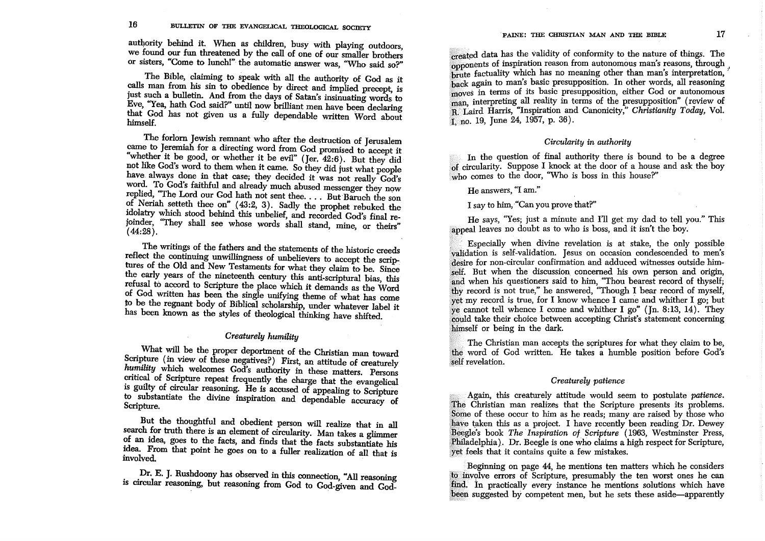authority behind it. When as children, busy with playing outdoors, we found our fun threatened by the call of one of our smaller brothers or sisters. "Come to lunch!" the automatic answer was, "Who said so?"

The Bible, claiming to speak with all the authority of God as it calls man from his sin to obedience by direct and implied precept, is just such a bulletin. And from the days of Satan's insinuating words to Eve, "Yea, hath God said?" until now brilliant men have been declaring that God has not given us a fully dependable written Word about<br>himself.

The forlorn Iewish remnant who after the destruction of Ierusalem came to Jeremiah for a directing word from God promised to accept it "whether it be good, or whether it be evil" (Jer. 42:6). But they did not like God's word to them when it came. So they did just what people have always done in that case; they decided it was not really God's word. To God's faithful and already much abused messenger they now replied, "The Lord our God hath not sent thee.... But Baruch the son of Neriah setteth thee on" (43:2, 3). Sadly the prophet rebuked the idolatry which stood behind this unbelief, and recorded God's final rejoinder, "They shall see whose words shall stand, mine, or theirs" (44:28).

The writings of the fathers and the statements of the historic creeds reflect the continuing unwillingness of unbelievers to accept the scriptures of the Old and New Testaments for what they claim to be. Since the early years of the nineteenth century this anti-scriptural bias, this refusal to accord to Scripture the place which it demands as the Word of God written has been the single unifying theme of what has come to be the regnant body of Biblical scholarship, under whatever label it has been known as the styles of theological thinking have shifted.

# *Creaturely humility*

What will be the proper deportment of the Christian man toward Scripture (in view of these negatives?) First, an attitude of creaturely *humility* which welcomes God's authority in these matters. Persons critical of Scripture repeat frequently the charge that the evangelical is guilty of circular reasoning. He is accused of appealing to Scripture to substantiate the divine inspiration and dependable accuracy of Scripture.

But the thoughtful and obedient person will realize that in all search for truth there is an element of circularity. Man takes a glimmer of an idea, goes to the facts, and finds that the facts substantiate his idea. From that point he goes on to a fuller realization of all that is involved.

Dr. E. J. Rushdoony has observed in this connection, "All reasoning is circular reasoning, but reasoning from God to God-given and God-

created data has the validity of conformity to the nature of things. The creation reason from autonomous man's reasons, through " **EXECUTE:** factuality which has no meaning other than man's interpretation. brute factuality which has no meaning other than man's interpretation,<br>back again to man's basic presupposition. In other words, all reasoning  $\frac{a}{2}$  in terms of its basic presupposition, either God or autonomous moves in terms of its basic presupposition, either God or autonomous man, interpreting all reality in terms of the presupposition" (review of R. Laird Harris, "Inspiration and Canonicity," Christianity Today, Vol.  $\frac{19}{100}$ , 19, June 24, 1957, p. 36).

# *Circularity in authority*

In the question of final authority there is bound to be a degree f circularity. Suppose I knock at the door of a house and ask the boy who comes to the door, "Who is boss in this house?"

He answers, "I am."

I say to him, "Can you prove that?"

He says, "Yes; just a minute and I'll get my dad to tell you." This appeal leaves no doubt as to who is boss, and it isn't the boy.

Especially when divine revelation is at stake, the only possible validation is self-validation. Jesus on occasion condescended to men's desire for non-circular confirmation and adduced witnesses outside  $h$ imself. But when the discussion concerned his own person and origin, and when his questioners said to him, "Thou bearest record of thyself; thy record is not true," he answered, "Though I bear record of myself, yet my record is true, for I know whence I came and whither I go; but we cannot tell whence I come and whither I go" (In. 8:13, 14). They .could take their choice between accepting Christ's statement concerning himself or being in the dark.

The Christian man accepts the scriptures for what they claim to be, the word of God written. He takes a humble position before God's 'self revelation.

#### *Creaturely patience*

'Again, this creaturely attitude would seem to postulate *patience*. The Christian man realizes that the Scripture presents its problems. Some of these occur to him as he reads; many are raised by those who have taken this as a project. I have recently been reading Dr. Dewey Beegle's book *The Inspiration of Scripture* (1963, Westminster Press, Philadelphia). Dr. Beegle is one who claims a high respect for Scripture, yet feels that it contains quite a few mistakes.

Beginning on page 44, he mentions ten matters which he considers to involve errors of Scripture, presumably the ten worst ones he can find. In practically every instance he mentions solutions which have been suggested by competent men, but he sets these aside—apparently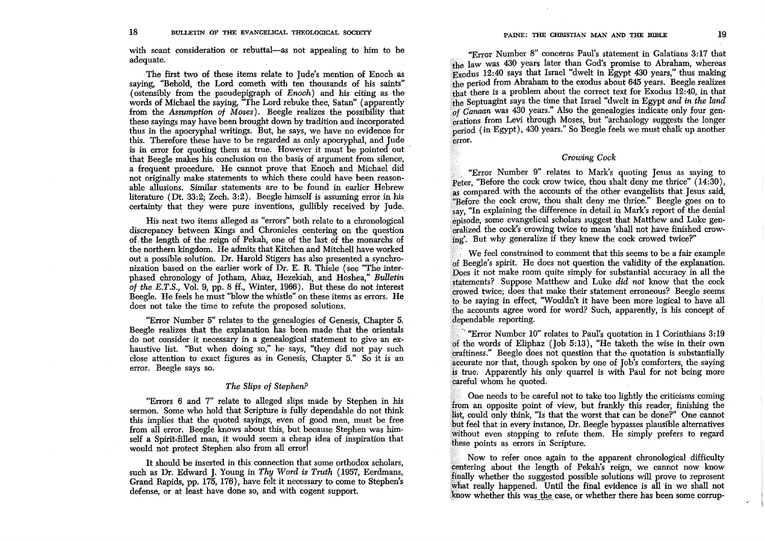with scant consideration or rebuttal—as not appealing to him to be adequate.

The first two of these items relate to Jude's mention of Enoch as saying, "Behold, the Lord cometh with ten thousands of his saints" (ostensibly from the pseudepigraph of *Enoch*) and his citing as the words of Michael the saying, "The Lord rebuke thee, Satan" (apparently from the *Assumption of Moses).* Beegle realizes the possibility that these sayings may have been brought down by tradition and incorporated thus in the apocryphal writings. But, he says, we have no evidence for this. Therefore these have to be regarded as only apocryphal, and Jude is in error for quoting them as true. However it must be pointed out that Beegle makes his conclusion on the basis of argument from silence, a frequent procedure. He cannot prove that Enoch and Michael did not originally make statements to which these could have been reasonable allusions. Similar statements are to be found in earlier Hebrew literature (Dt. 33:2; Zech. 3:2). Beegle himself is assuming error in his certainty that they were pure inventions, gullibly received by Jude.,

His next two items alleged as "errors" both relate to a chronological discrepancy between Kings and Chronicles centering on the question of.. the length of the reign of Pekah, one of the last of the monarchs of the northern kingdom. He admits that Kitchen and Mitchell have worked out a possible solution. Dr. Harold Stigers has also presented a synchronization based on the earlier work of Dr. E. R. Thiele (see The mterphased chronology of Jatham, Ahaz, Hezekiah, and Hoshea," *Bulletin of the E.T.S.,* Vol. 9, pp. 8 ff., Winter, 1966). But these do not interest Beegle. He feels he must ''blow the whistle" on these items as errors. He does not take the time to refute the proposed solutions.

''Error Number 5" relates to the genealogies of Genesis, Chapter 5. Beegle realizes that the explanation has been made that the orientals do *not* consider it necessary in a genealogical statement to give an exhaustive list. "But when doing so," he says, "they did not pay such close attention to exact figures as in Genesis, Chapter 5." So it is an error. Beegle says so.

# *The Slips of Stephen?*

"Errors 6 and 7" relate to alleged slips made by Stephen in his sermon. Some who hold that Scripture is fully dependable do not think this implies that the quoted sayings, even of good men, must be free from all error. Beegle knows about this, but because Stephen was himself a Spirit-filled man, it would seem a cheap idea of inspiration that would not protect Stephen also from all error

It should be inserted in this connection that some orthodox scholars, such as Dr. Edward J. Young in *Thy Word is Truth (1957, Eerdmans,* Grand Rapids, pp. 175, 176), have felt it necessary to come to Stephen's defense, or at least have done so, and with cogent support.

''Error Number 8" concerns Paul's statement in Galatians 3:17 that the law was 430 years later than God's promise to Abraham, whereas  $E_{\text{evodus}}$  12:40 says that Israel "dwelt in Egypt 430 years," thus making  $\frac{1}{2}$  the period from Abraham to the exodus about 645 years. Beegle realizes that there is a problem about the correct text for Exodus  $12:40$ , in that the Septuagint says the time that Israel "dwelt in Egypt *and in the land* of *Canaan* was 430 years." Also the genealogies indicate only four genrations from Levi through Moses, but "archaology suggests the longer meriod (in Egypt), 430 years." So Beegle feels we must chalk up another error.

# *Crowing Cock*

"Error Number 9" relates to Mark's quoting Jesus as saying to Peter, "Before the cock crow twice, thou shalt deny me thrice"  $(14.30)$ , as compared with the accounts of the other evangelists that Jesus said, "Before the cock crow, thou shalt deny me thrice." Beegle goes on to say, ''In explaining the difference in detail in Mark's report of the denial episode, some evangelical scholars suggest that Matthew and Luke generalized the cock's crowing twice to mean 'shall not have finished crowing'. But why generalize if they knew the cock crowed twice?"

We feel constrained to comment that this seems to be a fair example of Beegle's spirit. He does not question the validity of the explanation. Does it not make room quite simply for substantial accuracy in all the statements? Suppose Matthew and Luke *did not* know that the cock crowed twice; does that make their statement erroneous? Beegle seems to, be saying in effect, ''Wouldn't it have been more logical to have all the accounts agree word for word? Such, apparently, is his concept of dependable reporting.

 $\degree$  "Error Number 10" relates to Paul's quotation in I Corinthians 3:19 of the words of Eliphaz (Job 5: 13 ), "He taketh the wise in their own craftiness." Beegle does not question that the quotation.is substantially accurate nor that, though spoken by one of Job's comforters, the saying is true. Apparently his only quarrel is with Paul for not being more careful whom he quoted.

One needs to be careful not to take too lightly the criticisms coming from an opposite point of view, but frankly this reader, finishing the list, could only think, "Is that the worst that can be done?" One cannot but feel that in every instance, Dr. Beegle bypasses plausible alternatives without even stopping to refute them. He simply prefers to regard these points as errors in Scripture.

Now to refer once again to the apparent chronological difficulty centering about the length of Pekah's reign, we cannot now know .finally whether the suggested possible solutions will prove to represent what really happened. Until the final evidence is all in we shall not know whether this was the case, or whether there has been some corrup-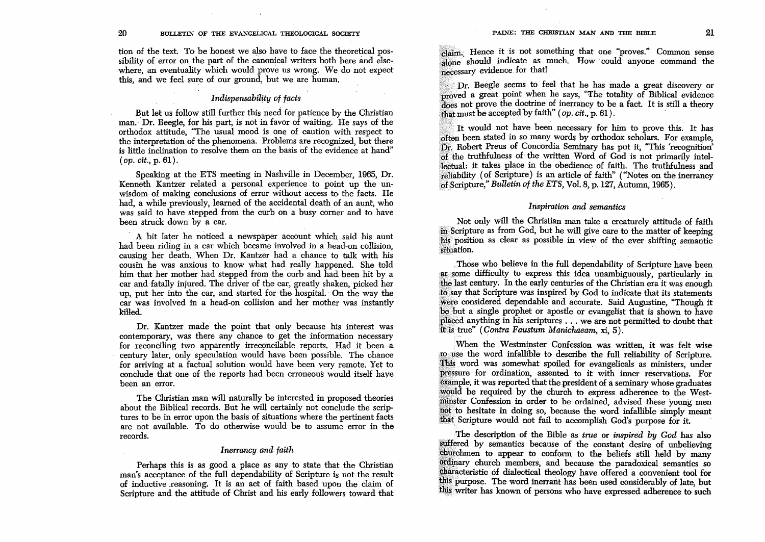tion of the text. To be honest we also have to face the theoretical possibility of error on the part of the canonical writers both here and elsewhere, an eventuality which would prove us wrong. We do not expect this, and we feel sure of our ground, but we are human.

# *Indispensability of facts*

But let us follow still further this need for patience by the Christian man. Dr. Beegle, for his part, is not in favor of waiting. He says of the orthodox attitude, "The usual mood is one of caution with respect to the interpretation of the phenomena. Problems are recognized, but there is little inclination to resolve them on the basis of the evidence at hand" *(op. cit.,* p. 61).

Speaking at the ETS meeting in Nashville in December, 1965, Dr. Kenneth Kantzer related a personal experience to point up the unwisdom of making conclusions of error without access to the facts. He had, a while previously, learned of the accidental death of an aunt, who was said to have stepped from the curb on a busy corner and to have been struck down by a car.

A bit later he noticed a newspaper account which said his aunt had been riding in a car which became involved in a head-on collision, causing her death. When Dr. Kantzer had a chance to talk with his cousin he was anxious to know what had really happened. She told him that her mother had stepped from the curb and had been hit by a car and fatally injured. The driver of the car, greatly shaken, picked her up, put her into the car, and started for the hospital. On the way the car was involved in a head-on collision and her mother was instantly killed.

Dr. Kantzer made the point that only because his interest was contemporary, was there any chance to get the information necessary for reconciling two apparently irreconcilable reports. Had it been a century later, only speculation would have been possible. The chance for arriving at a factual solution would have been very remote. Yet to conclude that one of the reports had been erroneous would itself have been an error.

The Christian man will naturally be interested in proposed theories about the Biblical records. But he will certainly not conclude the scriptures to be in error upon the basis of situations where the pertinent facts are not available. To do otherwise would be to assume error in the records.

### *Inerrancy and faith*

Perhaps this is as good a place as any to state that the Christian man's acceptance of the full dependability of Scripture is not the result of inductive reasoning. It is an act of faith based upon the claim of Scripture and the attitude of Christ and his early followers toward that claim.: Hence it is not something that one "proves." Common sense alone should indicate as much. How could anyone command the necessary evidence for that!

. . Dr. Beegle seems to feel that he has made a great discovery or proved a great point when he says, "The totality of Biblical evidence  $\frac{1}{2}$  does not prove the doctrine of inerrancy to be a fact. It is still a theory that must be accepted by faith"  $(op. cit., p. 61)$ .

It would not have been necessary for him to prove this. It has often been stated in so many words by orthodox scholars. For example, Dr. Robert Preus of Concordia Seminary has put it, "This 'recognition' of the truthfulness of the written Word of God is not primarily intellectual: it takes place in the obedience of faith. The truthfulness and reliability (of Scripture) is an article of faith" ("Notes on the inerrancy of Scripture, " *Bulletin of the ETS,* Vol. 8, p.127, Autumn, 1965). .

### *Inspiration and semantics*

Not only will the Christian man take a creaturely attitude of faith in Scripture as from God, but he will give care to the matter of keeping his position as clear as possible in view of the ever shifting semantic situation.

. Those who believe in the full dependability of Scripture have been at some difficulty to express this idea unambiguously, particularly in the last century. In the early centuries of the Christian era it was enough to say that SCripture was inspired by God to indicate that its statements were considered dependable and accurate. Said Augustine, "Though it be but a single prophet or apostle or evangelist that is shown to have placed anything in his scriptures  $\ldots$  we are not permitted to doubt that if.js true" *(Contra Faustum Manichaeam,* xi, 5).

When the Westminster Confession was written, it was felt wise to use the word infallible to describe the full reliability of Scripture. This word was somewhat spoiled for evangelicals as ministers, under pressure for ordination, assented to it with inner reservations. For example, it was reported that the president of a seminary whose graduates would be required by the church to express adherence to the Westminster Confession in order to be ordained, advised these young men not to hesitate in doing so, because the word infallible simply meant that Scripture would not fail to accomplish God's purpose for it.

. The description of the Bible as *true* or *inspired by God* has also suffered by semantics because of the constant desire of unbelieving churchmen to appear to conform to the beliefs still held by many ordinary church members, and because the paradoxical semantics so characteristic of dialectical theology have offered a convenient tool for this purpose. The word inerrant has been used considerably of late, but this writer has known of persons who have expressed adherence to such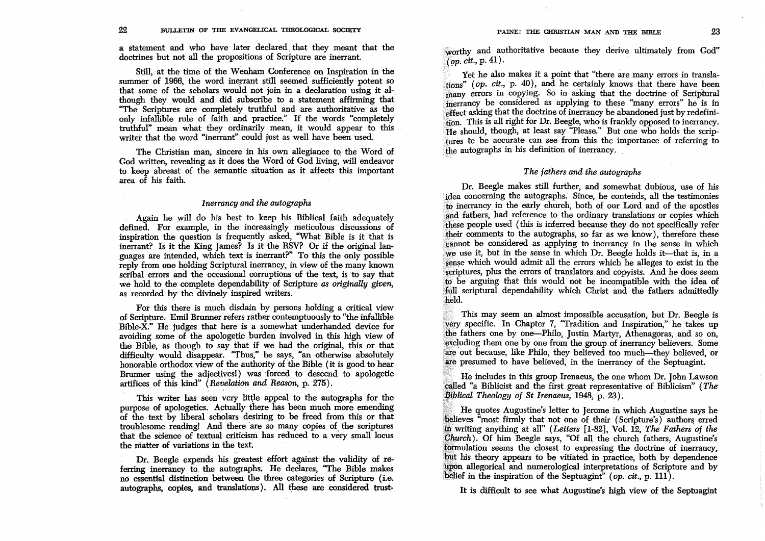a statement and who have later declared. that they meant that the doctrines but not all the propositions of Scripture are inerrant.

Still, at the time of the Wenham Conference on Inspiration in the summer of 1966, the word inerrant still seemed sufficiently potent so that some of the scholars would not join in a declaration using it although they would and did subscribe to a statement affirming that ''The SCriptures are completely truthful and are authoritative as the only infallible rule of faith and practice." If the words "completely truthful" mean what they ordinarily mean, it would appear to this writer that the word "inerrant" could just as well have been used.

The Christian man, sincere in his own allegiance to the Word of God written, revealing as it does the Word of God living, will endeavor to keep abreast of the semantic situation as it affects this important area of his faith.

## *Inerrancy and the autographs*

Again he will do his best to keep his Biblical faith adequately defined. For example, in the increasingly meticulous discussions of inspiration the question is frequently asked, "What Bible is it that is inerrant? Is it the King James? Is it the RSV? Or if the original languages are intended, which text is inerrant?" To this the only possible reply from one holding Scriptural inerrancy, in view of the many known scribal errors and the occasional corruptions of the text, is to say that we hold to the complete dependability of Scripture *as originally given*, as recorded by the divinely inspired writers.

For this there is much disdain by persons holding a critical view of Scripture. Emil Brunner refers rather contemptuously to "the infallible Bible- $\bar{X}$ ." He judges that here is a somewhat underhanded device for avoiding some of the apologetic burden involved in this high view of the Bible, as though to say that if we had the original, this or that difficulty would disappear. "Thus;" he says, "an otherwise absolutely honorable orthodox view of the authority of the Bible (it is good to hear Brunner using the adjectives!) was forced to descend to apologetic artifices of this kind" *(Revelation and Reason,* p. 275).

This writer has seen very little appeal to the autographs for the purpose of apologetics. Actually there has been much more emending of the text by liberal scholars desiring to be freed from this or that troublesome readingl And there are so many copies of the scriptures that the science of textual criticism has reduced to a very small locus the matter of variations in the text

Dr. Beegle expends his greatest effort against the validity of referring inerrancy to the autographs. He declares, "The Bible makes no essential distinction between the three categories of Scripture (i.e. autographs, copies, and translations). All these are considered trustworthy and authoritative because they derive ultimately from God"  $(m \text{ cit., p. } 41).$ 

Yet he also makes it a point that "there are many errors in transla $q_{\text{tions}}$ " *(op. cit., p. 40)*, and he certainly knows that there have been many errors in copying. So in asking that the doctrine of Scriptural inerrancy be considered as applying to these "many errors" he is in effect asking that the doctrine of inerrancy be abandoned just by redefinition. This is all right for Dr. Beegle, who is frankly opposed to inerrancy. He should, though, at least say "Please." But one who holds the scriptures tc be accurate can see from this the importance of referring to the autographs in his definition of inerrancy.

## *The fathers and the autographs*

Dr. Beegle makes still further, and somewhat dubious, use of his idea concerning the autographs. Since, he contends, all the testimonies to inerrancy in the early church, both of our Lord and of the apostles and fathers, had reference to the ordinary translations or copies which these people used (this is inferred because they do not specifically refer their comments to the autographs, so far as we know), therefore these cannot be considered as applying to inerrancy in the sense in which we use it, but in the sense in which Dr. Beegle holds it—that is, in a sense which would admit all the errors which he alleges to exist in the scriptures, plus the errors of translators and copyists. And he does seem to be arguing that this would not be incompatible with the idea of full scriptural dependability which Christ and the fathers admittedly held.

. This may seem an almost impossible accusation, but Dr. Beegle is very specific. In Chapter 7, "Tradition and Inspiration," he takes up the fathers one by one-Philo, Justin Martyr, Athenagoras, and so on, excluding them one by one from the group of inerrancy believers. Some are out because, like Philo, they believed too much-they believed, or are presumed to have believed, in the inerrancy of the Septuagint.

. He includes in this group Irenaeus, the one whom Dr. John Lawson called "a Biblicist and the first great representative of Biblicism" *(The .:13iblical Theology of St Irenaeus,* 1948, p. 23).

. He quotes Augustine's letter to Jerome in which Augustine says he believes "most firmly that not one of their (Scripture's) authors erred Ut writing anything at all" *(Letters* [1-82], Vol. 12, *The Fathers of the phurch).* Of him Beegle says, "Of all the church fathers, Augustine's formulation seems the closest to expressing the doctrine of inerrancy, put his theory appears to be vitiated in practice, both by dependence upon allegorical and numerological interpretations of Scripture and by belief in the inspiration of the Septuagint" (op. cit., p. 111).

It is difficult to see what Augustine's high view of the Septuagint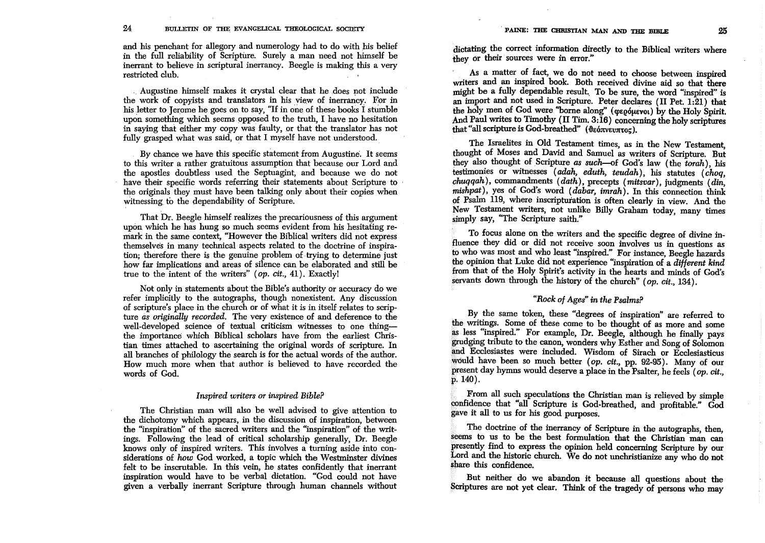and his penchant for allegory and numerology had to do with his belief in the full reliability of Scripture. Surely a man need not himself be inerrant to believe in scriptural inerrancy. Beegle is making this a very restricted club.

. Augustine himself makes it crystal clear that he does not include the work of copyists and translators in his view of inerrancy. For in his letter to Jerome he goes on to say, "If in one of these books I stumble upon something which seems opposed to the truth, I have no hesitation in saying that either my copy was faulty, or that the translator has not fully grasped what was said, or that I myself have not understood.

By chance we have this specific statement from Augustine. It seems to this writer a rather gratuitous assumption that because our Lord and the apostles doubtless used the Septuagint, and because we do not have their specific words referring their statements about Scripture to the originals they must have been talking only about their copies when witnessing to the dependability of Scripture.

That Dr. Beegle himself realizes the precariousness of this argument upon which he has hung so much seems evident from his hesitating remark in the same context, "However the Biblical writers did not express themselves in many technical aspects related to the doctrine of inspiration; therefore there is the genuine problem of trying to determine just how far implications and areas of silence can be elaborated and still be true to the intent of the writers" *(op. cit.,* 41). Exactlyl

Not only in statements about the Bible's authority or accuracy do we refer implicitly to the autographs, though nonexistent. Any discussion of scripture's place in the church or of what it is in itself relates to scripture *as originally recorded.* The very existence of and deference to the well-developed science of textual criticism witnesses to one thingthe importance' which Biblical scholars have from the earliest Christian times attached to ascertaining the original words of scripture. In all branches of philology the search is for the actual words of the author. How much more when that author is believed to have recorded the words of God.

## *Inspired writers* or *inspired Bible?*

The Christian man will also be well advised to give attention to the dichotomy which appears, in the discussion of inspiration, between the "inspiration" of the sacred writers and the "inspiration" of the writings. Following the lead of critical scholarship generally, Dr. Beegle knows only of inspired writers. This involves a turning aside into considerations of *how* God worked, a topic which the Westminster divines felt to be inscrutable. In this vein, he states confidently that inerrant inspiration would have to be verbal dictation. "God could not have given a verbally inerrant Scripture through human channels without dictating the correct information directly to the Biblical writers where they or their sources were in error."

. As a matter of fact, we do not need to choose between inspired writers and an inspired book. Both received divine aid so that there might be a fully dependable result. To be sure, the word "inspired" is an import and not used in Scripture. Peter declares (II Pet. 1:21) that the holy men of God were "borne along" (φερόμενοι) by the Holy Spirit. And Paul writes to Timothy (II Tim. 3:16) concerning the holy scriptures that "all scripture is God-breathed"  $(\vartheta_{\varepsilon}\vartheta_{\varepsilon}\vartheta_{\varepsilon})$ .

The Israelites in Old Testament times, as in the New Testament, thought of Moses and David and Samuel as writers of Scripture. But they also thought of SCripture *as such-of* God's law (the *torah),* his testimonies or witnesses ( *adah, eduth, teudah)* , his statutes ( *choq, chuqqah),* commandments *(dath),* precepts *(mitsvar),* judgments *(din, mishpat),* yes of God's word *(dabar, imrah).* In this connection think of Psalm 119, where inscriptuiation is often clearly in view. And the New Testament writers, not unlike Billy Graham today, many times simply say, "The Scripture saith."

. To focus alone on the writers and the specific degree of divine influence they did or did not receive soon involves us in questions as to who was most and who least "inspired." For instance, Beegle hazards the opinion that Luke did not experience "inspiration of a *different kind*  from that of the Holy Spirit's activity in the hearts and minds of God's servants down through the history of the church" *(op. cit.,* 134).

# *"Rock of Ages" in the Psalms?*

By the same token, these "degrees of inspiration" are referred to the writings. Some of these come to be thought of as more and some as less "inspired." For example, Dr. Beegle, although he finally pays grudging tribute to the canon, wonders why Esther and Song of Solomon and Ecclesiastes were included. Wisdom of Sirach or Ecclesiasticus would have been so much better (op. *cit.,* pp. 92-95). Many of our present day hymns would deserve a place in the Psalter, he feels *(op. cit.,*  p.140).

From all such speculations the Christian man is relieved by simple confidence that "all Scripture is God-breathed, and profitable." God gave it all to us for his good purposes.

The doctrine of the inerrancy of Scripture in the autographs, then, seems to us to be the best formulation that the Christian man can presently find to express the opinion held concerning Scripture by our Lord and the historic church. We do not unchristianize any who do not share this confidence.

But neither do we abandon it because all questions about the Scriptures are not yet clear. Think of the tragedy of persons who may